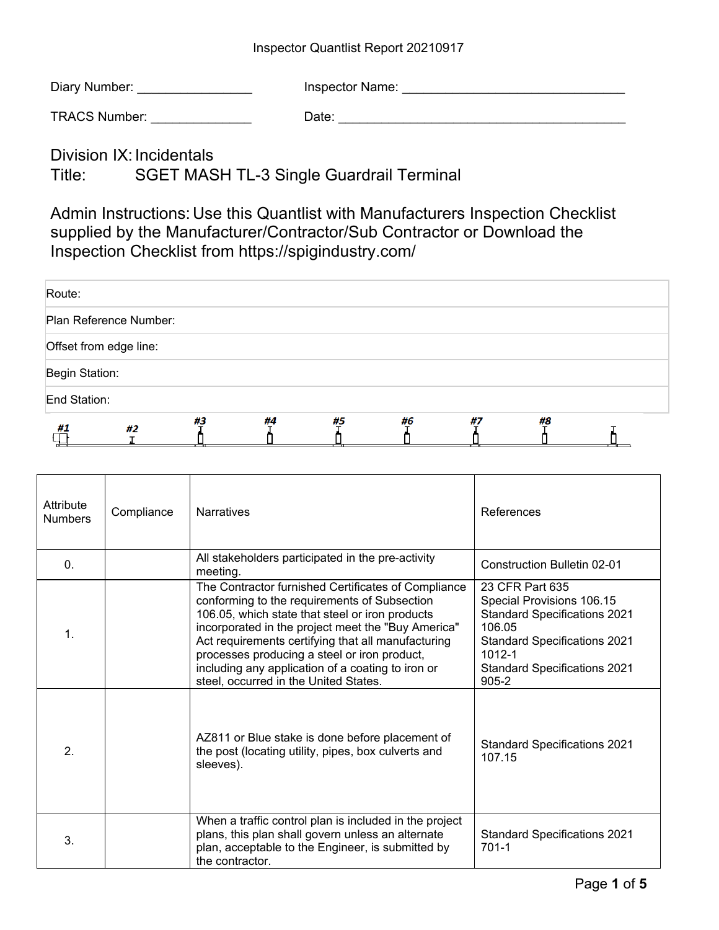## Inspector Quantlist Report 20210917

| Diary Number: | Inspector Name: |
|---------------|-----------------|
|---------------|-----------------|

TRACS Number: example and the Date: when  $\Box$  Date:

Division IX: Incidentals Title: SGET MASH TL-3 Single Guardrail Terminal

Admin Instructions: Use this Quantlist with Manufacturers Inspection Checklist supplied by the Manufacturer/Contractor/Sub Contractor or Download the Inspection Checklist from https://spigindustry.com/

| Route:                 |    |    |    |    |    |    |    |  |
|------------------------|----|----|----|----|----|----|----|--|
| Plan Reference Number: |    |    |    |    |    |    |    |  |
| Offset from edge line: |    |    |    |    |    |    |    |  |
| Begin Station:         |    |    |    |    |    |    |    |  |
| End Station:           |    |    |    |    |    |    |    |  |
| #1                     | #2 | #3 | #4 | #5 | #6 | #7 | #8 |  |

| Attribute<br><b>Numbers</b> | Compliance | <b>Narratives</b>                                                                                                                                                                                                                                                                                                                                                                                                | References                                                                                                                                                                                             |
|-----------------------------|------------|------------------------------------------------------------------------------------------------------------------------------------------------------------------------------------------------------------------------------------------------------------------------------------------------------------------------------------------------------------------------------------------------------------------|--------------------------------------------------------------------------------------------------------------------------------------------------------------------------------------------------------|
| $\mathbf{0}$ .              |            | All stakeholders participated in the pre-activity<br>meeting.                                                                                                                                                                                                                                                                                                                                                    | Construction Bulletin 02-01                                                                                                                                                                            |
| $\mathbf 1$                 |            | The Contractor furnished Certificates of Compliance<br>conforming to the requirements of Subsection<br>106.05, which state that steel or iron products<br>incorporated in the project meet the "Buy America"<br>Act requirements certifying that all manufacturing<br>processes producing a steel or iron product,<br>including any application of a coating to iron or<br>steel, occurred in the United States. | 23 CFR Part 635<br>Special Provisions 106.15<br><b>Standard Specifications 2021</b><br>106.05<br><b>Standard Specifications 2021</b><br>$1012 - 1$<br><b>Standard Specifications 2021</b><br>$905 - 2$ |
| $\overline{2}$ .            |            | AZ811 or Blue stake is done before placement of<br>the post (locating utility, pipes, box culverts and<br>sleeves).                                                                                                                                                                                                                                                                                              | <b>Standard Specifications 2021</b><br>107.15                                                                                                                                                          |
| 3.                          |            | When a traffic control plan is included in the project<br>plans, this plan shall govern unless an alternate<br>plan, acceptable to the Engineer, is submitted by<br>the contractor.                                                                                                                                                                                                                              | <b>Standard Specifications 2021</b><br>$701 - 1$                                                                                                                                                       |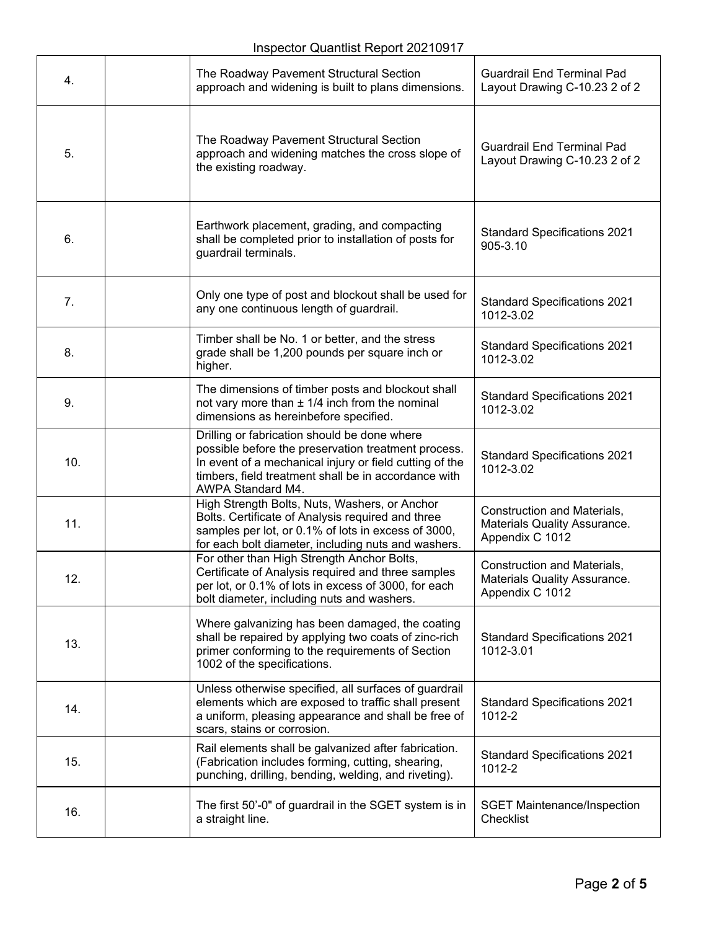| 4.  | The Roadway Pavement Structural Section<br>approach and widening is built to plans dimensions.                                                                                                                                              | <b>Guardrail End Terminal Pad</b><br>Layout Drawing C-10.23 2 of 2             |  |
|-----|---------------------------------------------------------------------------------------------------------------------------------------------------------------------------------------------------------------------------------------------|--------------------------------------------------------------------------------|--|
| 5.  | The Roadway Pavement Structural Section<br>approach and widening matches the cross slope of<br>the existing roadway.                                                                                                                        | <b>Guardrail End Terminal Pad</b><br>Layout Drawing C-10.23 2 of 2             |  |
| 6.  | Earthwork placement, grading, and compacting<br>shall be completed prior to installation of posts for<br>guardrail terminals.                                                                                                               | <b>Standard Specifications 2021</b><br>905-3.10                                |  |
| 7.  | Only one type of post and blockout shall be used for<br>any one continuous length of guardrail.                                                                                                                                             | <b>Standard Specifications 2021</b><br>1012-3.02                               |  |
| 8.  | Timber shall be No. 1 or better, and the stress<br>grade shall be 1,200 pounds per square inch or<br>higher.                                                                                                                                | <b>Standard Specifications 2021</b><br>1012-3.02                               |  |
| 9.  | The dimensions of timber posts and blockout shall<br>not vary more than $\pm$ 1/4 inch from the nominal<br>dimensions as hereinbefore specified.                                                                                            | <b>Standard Specifications 2021</b><br>1012-3.02                               |  |
| 10. | Drilling or fabrication should be done where<br>possible before the preservation treatment process.<br>In event of a mechanical injury or field cutting of the<br>timbers, field treatment shall be in accordance with<br>AWPA Standard M4. | <b>Standard Specifications 2021</b><br>1012-3.02                               |  |
| 11. | High Strength Bolts, Nuts, Washers, or Anchor<br>Bolts. Certificate of Analysis required and three<br>samples per lot, or 0.1% of lots in excess of 3000,<br>for each bolt diameter, including nuts and washers.                            | Construction and Materials,<br>Materials Quality Assurance.<br>Appendix C 1012 |  |
| 12. | For other than High Strength Anchor Bolts,<br>Certificate of Analysis required and three samples<br>per lot, or 0.1% of lots in excess of 3000, for each<br>bolt diameter, including nuts and washers.                                      | Construction and Materials,<br>Materials Quality Assurance.<br>Appendix C 1012 |  |
| 13. | Where galvanizing has been damaged, the coating<br>shall be repaired by applying two coats of zinc-rich<br>primer conforming to the requirements of Section<br>1002 of the specifications.                                                  | <b>Standard Specifications 2021</b><br>1012-3.01                               |  |
| 14. | Unless otherwise specified, all surfaces of guardrail<br>elements which are exposed to traffic shall present<br>a uniform, pleasing appearance and shall be free of<br>scars, stains or corrosion.                                          | <b>Standard Specifications 2021</b><br>1012-2                                  |  |
| 15. | Rail elements shall be galvanized after fabrication.<br>(Fabrication includes forming, cutting, shearing,<br>punching, drilling, bending, welding, and riveting).                                                                           | <b>Standard Specifications 2021</b><br>1012-2                                  |  |
| 16. | The first 50'-0" of guardrail in the SGET system is in<br>a straight line.                                                                                                                                                                  | <b>SGET Maintenance/Inspection</b><br>Checklist                                |  |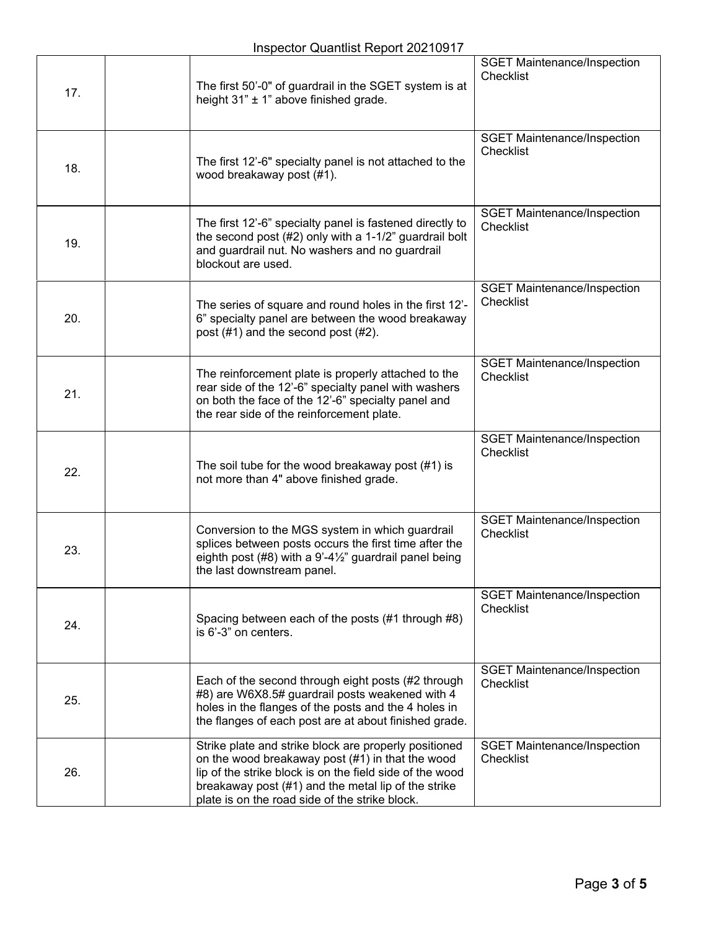| 17. | The first 50'-0" of guardrail in the SGET system is at<br>height 31" ± 1" above finished grade.                                                                                                                                                                                | <b>SGET Maintenance/Inspection</b><br>Checklist |
|-----|--------------------------------------------------------------------------------------------------------------------------------------------------------------------------------------------------------------------------------------------------------------------------------|-------------------------------------------------|
| 18. | The first 12'-6" specialty panel is not attached to the<br>wood breakaway post (#1).                                                                                                                                                                                           | <b>SGET Maintenance/Inspection</b><br>Checklist |
| 19. | The first 12'-6" specialty panel is fastened directly to<br>the second post (#2) only with a 1-1/2" guardrail bolt<br>and guardrail nut. No washers and no guardrail<br>blockout are used.                                                                                     | <b>SGET Maintenance/Inspection</b><br>Checklist |
| 20. | The series of square and round holes in the first 12'-<br>6" specialty panel are between the wood breakaway<br>post (#1) and the second post (#2).                                                                                                                             | <b>SGET Maintenance/Inspection</b><br>Checklist |
| 21. | The reinforcement plate is properly attached to the<br>rear side of the 12'-6" specialty panel with washers<br>on both the face of the 12'-6" specialty panel and<br>the rear side of the reinforcement plate.                                                                 | <b>SGET Maintenance/Inspection</b><br>Checklist |
| 22. | The soil tube for the wood breakaway post $(\#1)$ is<br>not more than 4" above finished grade.                                                                                                                                                                                 | <b>SGET Maintenance/Inspection</b><br>Checklist |
| 23. | Conversion to the MGS system in which guardrail<br>splices between posts occurs the first time after the<br>eighth post $(#8)$ with a 9'-4 $\frac{1}{2}$ " guardrail panel being<br>the last downstream panel.                                                                 | <b>SGET Maintenance/Inspection</b><br>Checklist |
| 24. | Spacing between each of the posts (#1 through #8)<br>is 6'-3" on centers.                                                                                                                                                                                                      | <b>SGET Maintenance/Inspection</b><br>Checklist |
| 25. | Each of the second through eight posts (#2 through<br>#8) are W6X8.5# guardrail posts weakened with 4<br>holes in the flanges of the posts and the 4 holes in<br>the flanges of each post are at about finished grade.                                                         | <b>SGET Maintenance/Inspection</b><br>Checklist |
| 26. | Strike plate and strike block are properly positioned<br>on the wood breakaway post (#1) in that the wood<br>lip of the strike block is on the field side of the wood<br>breakaway post (#1) and the metal lip of the strike<br>plate is on the road side of the strike block. | <b>SGET Maintenance/Inspection</b><br>Checklist |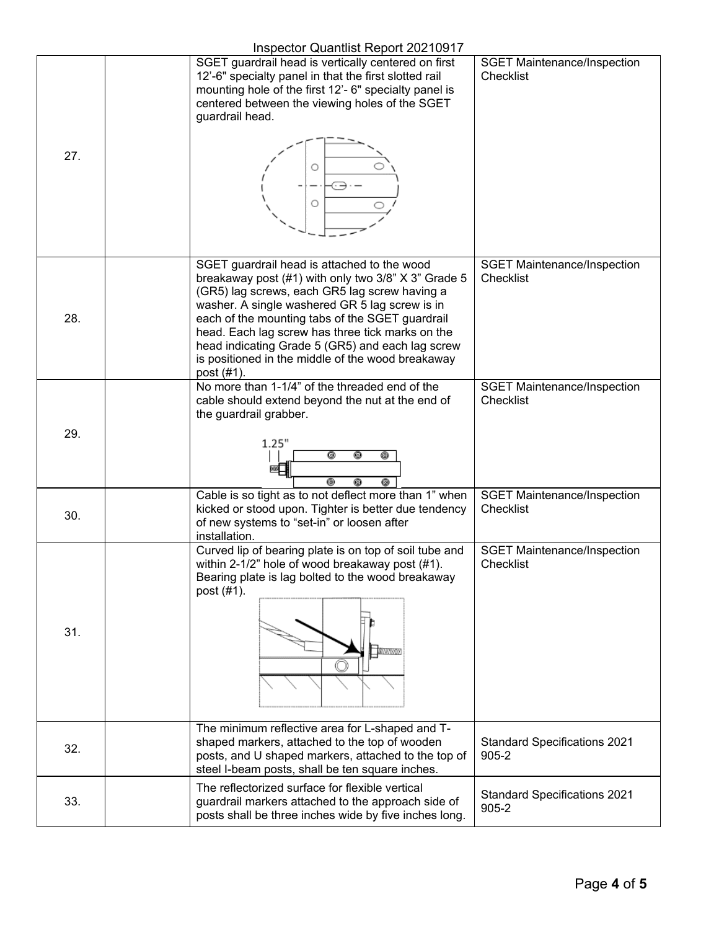## Inspector Quantlist Report 20210917

| 27. | $m_{\nu}$ , $m_{\nu}$ , $m_{\nu}$ , $m_{\nu}$ , $m_{\nu}$ , $m_{\nu}$ , $m_{\nu}$ , $m_{\nu}$ , $m_{\nu}$ , $m_{\nu}$<br>SGET guardrail head is vertically centered on first<br>12'-6" specialty panel in that the first slotted rail<br>mounting hole of the first 12'- 6" specialty panel is<br>centered between the viewing holes of the SGET<br>guardrail head.<br>Ο                                                            | <b>SGET Maintenance/Inspection</b><br>Checklist  |
|-----|-------------------------------------------------------------------------------------------------------------------------------------------------------------------------------------------------------------------------------------------------------------------------------------------------------------------------------------------------------------------------------------------------------------------------------------|--------------------------------------------------|
|     |                                                                                                                                                                                                                                                                                                                                                                                                                                     |                                                  |
| 28. | SGET guardrail head is attached to the wood<br>breakaway post (#1) with only two 3/8" X 3" Grade 5<br>(GR5) lag screws, each GR5 lag screw having a<br>washer. A single washered GR 5 lag screw is in<br>each of the mounting tabs of the SGET guardrail<br>head. Each lag screw has three tick marks on the<br>head indicating Grade 5 (GR5) and each lag screw<br>is positioned in the middle of the wood breakaway<br>post (#1). | <b>SGET Maintenance/Inspection</b><br>Checklist  |
| 29. | No more than 1-1/4" of the threaded end of the<br>cable should extend beyond the nut at the end of<br>the guardrail grabber.<br>1.25"<br>0<br>0<br>@                                                                                                                                                                                                                                                                                | <b>SGET Maintenance/Inspection</b><br>Checklist  |
| 30. | 0<br>0<br>0<br>Cable is so tight as to not deflect more than 1" when<br>kicked or stood upon. Tighter is better due tendency<br>of new systems to "set-in" or loosen after<br>installation.                                                                                                                                                                                                                                         | <b>SGET Maintenance/Inspection</b><br>Checklist  |
| 31. | Curved lip of bearing plate is on top of soil tube and<br>within 2-1/2" hole of wood breakaway post (#1).<br>Bearing plate is lag bolted to the wood breakaway<br>post (#1).<br><b><i>MINIMUMI</i></b>                                                                                                                                                                                                                              | <b>SGET Maintenance/Inspection</b><br>Checklist  |
| 32. | The minimum reflective area for L-shaped and T-<br>shaped markers, attached to the top of wooden<br>posts, and U shaped markers, attached to the top of<br>steel I-beam posts, shall be ten square inches.                                                                                                                                                                                                                          | <b>Standard Specifications 2021</b><br>$905 - 2$ |
| 33. | The reflectorized surface for flexible vertical<br>guardrail markers attached to the approach side of<br>posts shall be three inches wide by five inches long.                                                                                                                                                                                                                                                                      | <b>Standard Specifications 2021</b><br>$905 - 2$ |